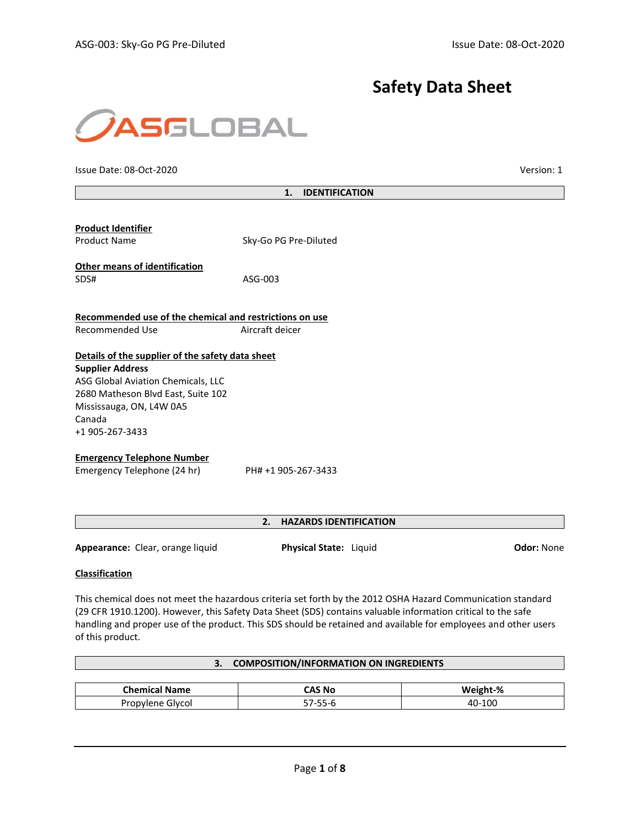# **Safety Data Sheet**



Issue Date: 08-Oct-2020 Version: 1

| 1.<br><b>IDENTIFICATION</b> |  |
|-----------------------------|--|
|                             |  |

| <b>Product Identifier</b><br><b>Product Name</b>                                                                                                                                                                 | Sky-Go PG Pre-Diluted |
|------------------------------------------------------------------------------------------------------------------------------------------------------------------------------------------------------------------|-----------------------|
| <b>Other means of identification</b><br>SDS#                                                                                                                                                                     | ASG-003               |
| Recommended use of the chemical and restrictions on use<br>Recommended Use                                                                                                                                       | Aircraft deicer       |
| Details of the supplier of the safety data sheet<br><b>Supplier Address</b><br>ASG Global Aviation Chemicals, LLC<br>2680 Matheson Blvd East, Suite 102<br>Mississauga, ON, L4W 0A5<br>Canada<br>+1 905-267-3433 |                       |
| <b>Emergency Telephone Number</b><br>Emergency Telephone (24 hr)                                                                                                                                                 | PH# +1 905-267-3433   |

## **2. HAZARDS IDENTIFICATION**

**Appearance:** Clear, orange liquid **Physical State:** Liquid **Odor:** None

## **Classification**

This chemical does not meet the hazardous criteria set forth by the 2012 OSHA Hazard Communication standard (29 CFR 1910.1200). However, this Safety Data Sheet (SDS) contains valuable information critical to the safe handling and proper use of the product. This SDS should be retained and available for employees and other users of this product.

|                      | <b>COMPOSITION/INFORMATION ON INGREDIENTS</b> |          |
|----------------------|-----------------------------------------------|----------|
|                      |                                               |          |
| <b>Chemical Name</b> | CAS No                                        | Weight-% |
| Propylene Glycol     | 57-55-6                                       | 40-100   |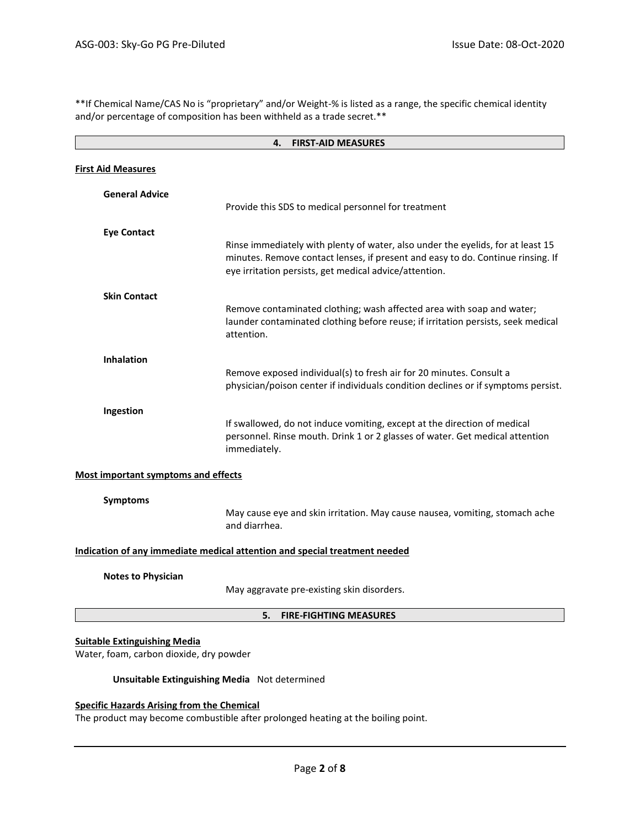\*\*If Chemical Name/CAS No is "proprietary" and/or Weight-% is listed as a range, the specific chemical identity and/or percentage of composition has been withheld as a trade secret.\*\*

| <b>FIRST-AID MEASURES</b><br>4.                                                |                                                                                                                                                                                                                              |  |
|--------------------------------------------------------------------------------|------------------------------------------------------------------------------------------------------------------------------------------------------------------------------------------------------------------------------|--|
| <b>First Aid Measures</b>                                                      |                                                                                                                                                                                                                              |  |
| <b>General Advice</b>                                                          | Provide this SDS to medical personnel for treatment                                                                                                                                                                          |  |
| <b>Eye Contact</b>                                                             | Rinse immediately with plenty of water, also under the eyelids, for at least 15<br>minutes. Remove contact lenses, if present and easy to do. Continue rinsing. If<br>eye irritation persists, get medical advice/attention. |  |
| <b>Skin Contact</b>                                                            | Remove contaminated clothing; wash affected area with soap and water;<br>launder contaminated clothing before reuse; if irritation persists, seek medical<br>attention.                                                      |  |
| <b>Inhalation</b>                                                              | Remove exposed individual(s) to fresh air for 20 minutes. Consult a<br>physician/poison center if individuals condition declines or if symptoms persist.                                                                     |  |
| Ingestion                                                                      | If swallowed, do not induce vomiting, except at the direction of medical<br>personnel. Rinse mouth. Drink 1 or 2 glasses of water. Get medical attention<br>immediately.                                                     |  |
| <b>Most important symptoms and effects</b>                                     |                                                                                                                                                                                                                              |  |
| <b>Symptoms</b>                                                                | May cause eye and skin irritation. May cause nausea, vomiting, stomach ache<br>and diarrhea.                                                                                                                                 |  |
|                                                                                | Indication of any immediate medical attention and special treatment needed                                                                                                                                                   |  |
| <b>Notes to Physician</b>                                                      | May aggravate pre-existing skin disorders.                                                                                                                                                                                   |  |
| 5.<br><b>FIRE-FIGHTING MEASURES</b>                                            |                                                                                                                                                                                                                              |  |
| <b>Suitable Extinguishing Media</b><br>Water, foam, carbon dioxide, dry powder |                                                                                                                                                                                                                              |  |
| Unsuitable Extinguishing Media Not determined                                  |                                                                                                                                                                                                                              |  |
| <b>Specific Hazards Arising from the Chemical</b>                              |                                                                                                                                                                                                                              |  |

The product may become combustible after prolonged heating at the boiling point.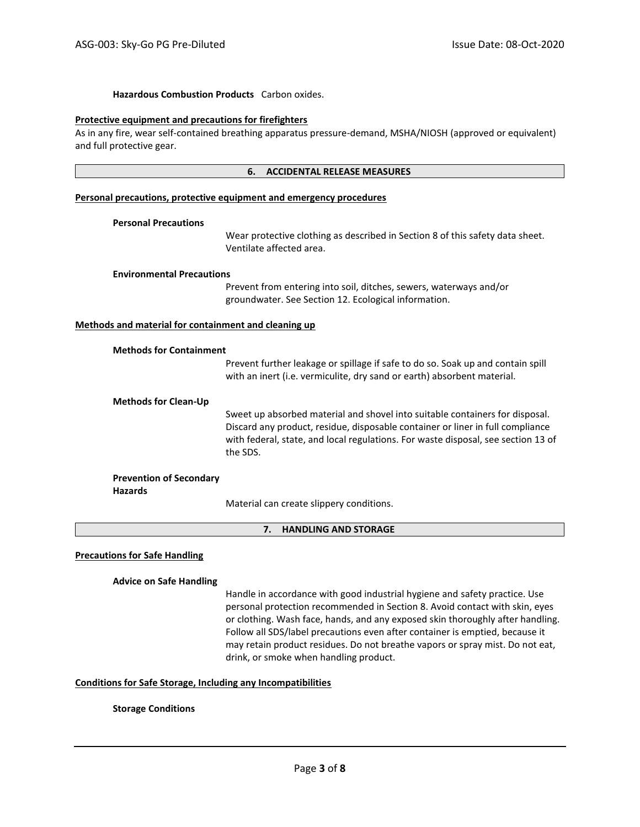## **Hazardous Combustion Products** Carbon oxides.

#### **Protective equipment and precautions for firefighters**

As in any fire, wear self-contained breathing apparatus pressure-demand, MSHA/NIOSH (approved or equivalent) and full protective gear.

## **6. ACCIDENTAL RELEASE MEASURES**

#### **Personal precautions, protective equipment and emergency procedures**

#### **Personal Precautions**

Wear protective clothing as described in Section 8 of this safety data sheet. Ventilate affected area.

#### **Environmental Precautions**

Prevent from entering into soil, ditches, sewers, waterways and/or groundwater. See Section 12. Ecological information.

#### **Methods and material for containment and cleaning up**

|                                                  | Prevent further leakage or spillage if safe to do so. Soak up and contain spill<br>with an inert (i.e. vermiculite, dry sand or earth) absorbent material.                                                                                                      |
|--------------------------------------------------|-----------------------------------------------------------------------------------------------------------------------------------------------------------------------------------------------------------------------------------------------------------------|
| <b>Methods for Clean-Up</b>                      |                                                                                                                                                                                                                                                                 |
|                                                  | Sweet up absorbed material and shovel into suitable containers for disposal.<br>Discard any product, residue, disposable container or liner in full compliance<br>with federal, state, and local regulations. For waste disposal, see section 13 of<br>the SDS. |
| <b>Prevention of Secondary</b><br><b>Hazards</b> |                                                                                                                                                                                                                                                                 |
|                                                  | Material sem sucche elignesmi semelitiens                                                                                                                                                                                                                       |

Material can create slippery conditions.

## **7. HANDLING AND STORAGE**

## **Precautions for Safe Handling**

## **Advice on Safe Handling**

Handle in accordance with good industrial hygiene and safety practice. Use personal protection recommended in Section 8. Avoid contact with skin, eyes or clothing. Wash face, hands, and any exposed skin thoroughly after handling. Follow all SDS/label precautions even after container is emptied, because it may retain product residues. Do not breathe vapors or spray mist. Do not eat, drink, or smoke when handling product.

## **Conditions for Safe Storage, Including any Incompatibilities**

## **Storage Conditions**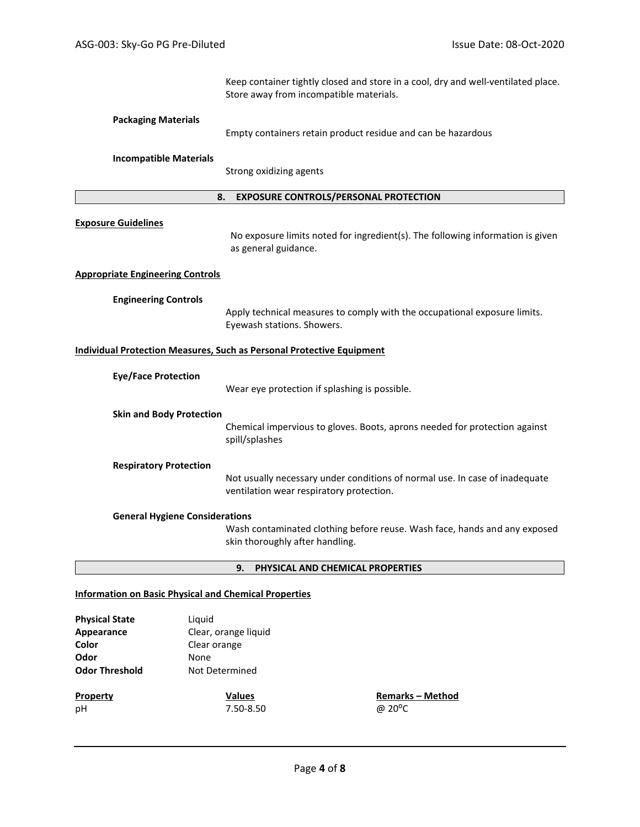Keep container tightly closed and store in a cool, dry and well-ventilated place. Store away from incompatible materials.

## **Packaging Materials**

Empty containers retain product residue and can be hazardous

## **Incompatible Materials**

Strong oxidizing agents

## **8. EXPOSURE CONTROLS/PERSONAL PROTECTION**

## **Exposure Guidelines**

No exposure limits noted for ingredient(s). The following information is given as general guidance.

## **Appropriate Engineering Controls**

## **Engineering Controls**

Apply technical measures to comply with the occupational exposure limits. Eyewash stations. Showers.

## **Individual Protection Measures, Such as Personal Protective Equipment**

| <b>Eye/Face Protection</b>            | Wear eye protection if splashing is possible.                                                                           |
|---------------------------------------|-------------------------------------------------------------------------------------------------------------------------|
| <b>Skin and Body Protection</b>       | Chemical impervious to gloves. Boots, aprons needed for protection against<br>spill/splashes                            |
| <b>Respiratory Protection</b>         | Not usually necessary under conditions of normal use. In case of inadequate<br>ventilation wear respiratory protection. |
| <b>General Hygiene Considerations</b> | Wash contaminated clothing before reuse. Wash face, hands and any exposed                                               |

Wash contaminated clothing before reuse. Wash face, hands and any exposed skin thoroughly after handling.

#### **9. PHYSICAL AND CHEMICAL PROPERTIES**

#### **Information on Basic Physical and Chemical Properties**

| <b>Physical State</b><br>Appearance<br>Color | Liguid<br>Clear, orange liquid<br>Clear orange |                         |
|----------------------------------------------|------------------------------------------------|-------------------------|
|                                              |                                                |                         |
| Odor                                         | None                                           |                         |
| <b>Odor Threshold</b>                        | Not Determined                                 |                         |
| <b>Property</b>                              | <b>Values</b>                                  | <b>Remarks - Method</b> |
| pH                                           | 7.50-8.50                                      | @ 20 <sup>o</sup> C     |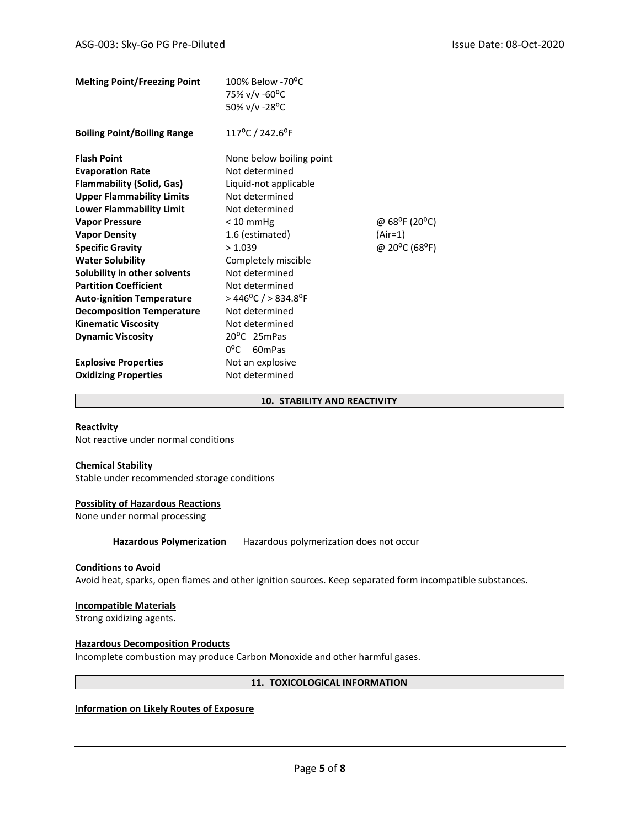| <b>Melting Point/Freezing Point</b> | 100% Below -70°C<br>75% v/v -60°C<br>50% v/v -28°C |                                         |
|-------------------------------------|----------------------------------------------------|-----------------------------------------|
| <b>Boiling Point/Boiling Range</b>  | 117°C / 242.6°F                                    |                                         |
| <b>Flash Point</b>                  | None below boiling point                           |                                         |
| <b>Evaporation Rate</b>             | Not determined                                     |                                         |
| <b>Flammability (Solid, Gas)</b>    | Liquid-not applicable                              |                                         |
| <b>Upper Flammability Limits</b>    | Not determined                                     |                                         |
| <b>Lower Flammability Limit</b>     | Not determined                                     |                                         |
| <b>Vapor Pressure</b>               | $< 10$ mmHg                                        | @ 68 <sup>o</sup> F (20 <sup>o</sup> C) |
| <b>Vapor Density</b>                | 1.6 (estimated)                                    | (Air=1)                                 |
| <b>Specific Gravity</b>             | > 1.039                                            | @ 20°C (68°F)                           |
| <b>Water Solubility</b>             | Completely miscible                                |                                         |
| Solubility in other solvents        | Not determined                                     |                                         |
| <b>Partition Coefficient</b>        | Not determined                                     |                                         |
| <b>Auto-ignition Temperature</b>    | $>$ 446 <sup>o</sup> C / $>$ 834.8 <sup>o</sup> F  |                                         |
| <b>Decomposition Temperature</b>    | Not determined                                     |                                         |
| <b>Kinematic Viscosity</b>          | Not determined                                     |                                         |
| <b>Dynamic Viscosity</b>            | 20°C 25mPas                                        |                                         |
|                                     | $0^{\circ}$ C 60mPas                               |                                         |
| <b>Explosive Properties</b>         | Not an explosive                                   |                                         |
| <b>Oxidizing Properties</b>         | Not determined                                     |                                         |

## **10. STABILITY AND REACTIVITY**

## **Reactivity**

Not reactive under normal conditions

## **Chemical Stability**

Stable under recommended storage conditions

# **Possiblity of Hazardous Reactions**

None under normal processing

**Hazardous Polymerization** Hazardous polymerization does not occur

## **Conditions to Avoid**

Avoid heat, sparks, open flames and other ignition sources. Keep separated form incompatible substances.

## **Incompatible Materials**

Strong oxidizing agents.

## **Hazardous Decomposition Products**

Incomplete combustion may produce Carbon Monoxide and other harmful gases.

## **11. TOXICOLOGICAL INFORMATION**

# **Information on Likely Routes of Exposure**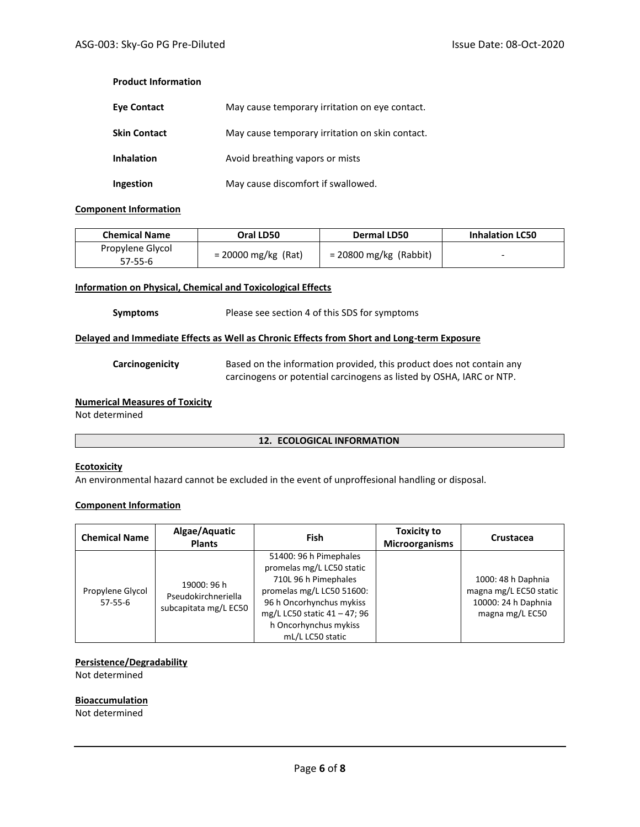## **Product Information**

| Eye Contact         | May cause temporary irritation on eye contact.  |
|---------------------|-------------------------------------------------|
| <b>Skin Contact</b> | May cause temporary irritation on skin contact. |
| <b>Inhalation</b>   | Avoid breathing vapors or mists                 |
| Ingestion           | May cause discomfort if swallowed.              |

## **Component Information**

| <b>Chemical Name</b> | Oral LD50             | Dermal LD50              | <b>Inhalation LC50</b> |
|----------------------|-----------------------|--------------------------|------------------------|
| Propylene Glycol     | $= 20000$ mg/kg (Rat) | $= 20800$ mg/kg (Rabbit) | -                      |
| 57-55-6              |                       |                          |                        |

## **Information on Physical, Chemical and Toxicological Effects**

## **Symptoms** Please see section 4 of this SDS for symptoms

## **Delayed and Immediate Effects as Well as Chronic Effects from Short and Long-term Exposure**

**Carcinogenicity** Based on the information provided, this product does not contain any carcinogens or potential carcinogens as listed by OSHA, IARC or NTP.

# **Numerical Measures of Toxicity**

Not determined

## **12. ECOLOGICAL INFORMATION**

## **Ecotoxicity**

An environmental hazard cannot be excluded in the event of unproffesional handling or disposal.

# **Component Information**

| <b>Chemical Name</b>        | Algae/Aquatic<br><b>Plants</b>                              | Fish                                                                                                                                                                                                              | <b>Toxicity to</b><br><b>Microorganisms</b> | Crustacea                                                                              |
|-----------------------------|-------------------------------------------------------------|-------------------------------------------------------------------------------------------------------------------------------------------------------------------------------------------------------------------|---------------------------------------------|----------------------------------------------------------------------------------------|
| Propylene Glycol<br>57-55-6 | 19000: 96 h<br>Pseudokirchneriella<br>subcapitata mg/L EC50 | 51400: 96 h Pimephales<br>promelas mg/L LC50 static<br>710L 96 h Pimephales<br>promelas mg/L LC50 51600:<br>96 h Oncorhynchus mykiss<br>mg/L LC50 static 41 - 47; 96<br>h Oncorhynchus mykiss<br>mL/L LC50 static |                                             | 1000: 48 h Daphnia<br>magna mg/L EC50 static<br>10000: 24 h Daphnia<br>magna mg/L EC50 |

## **Persistence/Degradability**

Not determined

## **Bioaccumulation**

Not determined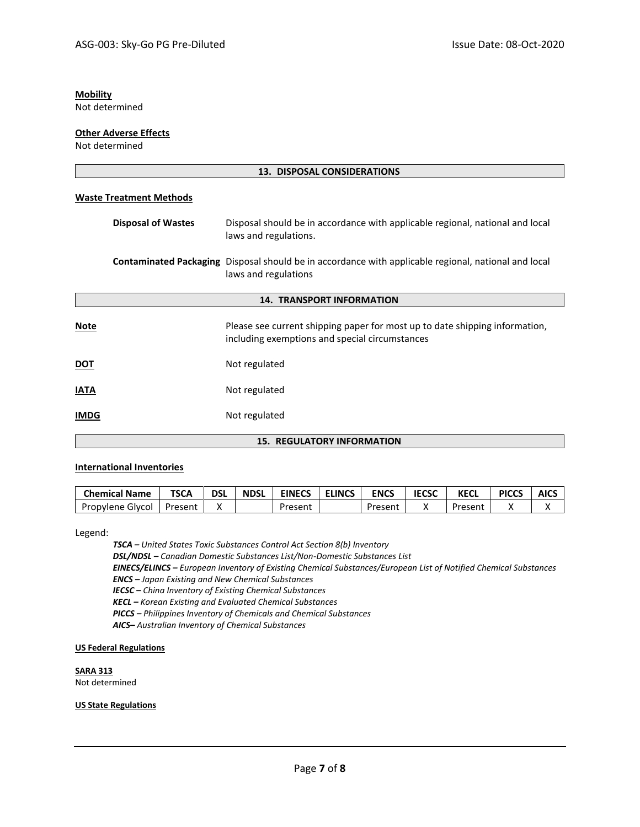# **Mobility**

Not determined

## **Other Adverse Effects**

Not determined

| 13. DISPOSAL CONSIDERATIONS       |                                                                                                                                     |  |
|-----------------------------------|-------------------------------------------------------------------------------------------------------------------------------------|--|
| <b>Waste Treatment Methods</b>    |                                                                                                                                     |  |
| <b>Disposal of Wastes</b>         | Disposal should be in accordance with applicable regional, national and local<br>laws and regulations.                              |  |
|                                   | <b>Contaminated Packaging</b> Disposal should be in accordance with applicable regional, national and local<br>laws and regulations |  |
| <b>14. TRANSPORT INFORMATION</b>  |                                                                                                                                     |  |
| <b>Note</b>                       | Please see current shipping paper for most up to date shipping information,<br>including exemptions and special circumstances       |  |
| <b>DOT</b>                        | Not regulated                                                                                                                       |  |
| <b>IATA</b>                       | Not regulated                                                                                                                       |  |
| <b>IMDG</b>                       | Not regulated                                                                                                                       |  |
| <b>15. REGULATORY INFORMATION</b> |                                                                                                                                     |  |

## **International Inventories**

| <b>Chemical Name</b> | <b>TSCA</b> | <b>DSL</b> | <b>NDSL</b> | <b>EINECS</b> | <b>ELINCS</b> | <b>ENCS</b> | <b>IECSC</b> | KECL    | <b>PICCS</b> | <b>AICS</b> |
|----------------------|-------------|------------|-------------|---------------|---------------|-------------|--------------|---------|--------------|-------------|
| Propylene Glycol     | Present     |            |             | Present       |               | Present     |              | Present |              |             |

Legend:

*TSCA – United States Toxic Substances Control Act Section 8(b) Inventory*

*DSL/NDSL – Canadian Domestic Substances List/Non-Domestic Substances List*

*EINECS/ELINCS – European Inventory of Existing Chemical Substances/European List of Notified Chemical Substances ENCS – Japan Existing and New Chemical Substances*

*IECSC – China Inventory of Existing Chemical Substances*

*KECL – Korean Existing and Evaluated Chemical Substances*

*PICCS – Philippines Inventory of Chemicals and Chemical Substances*

*AICS– Australian Inventory of Chemical Substances*

## **US Federal Regulations**

**SARA 313** Not determined

## **US State Regulations**